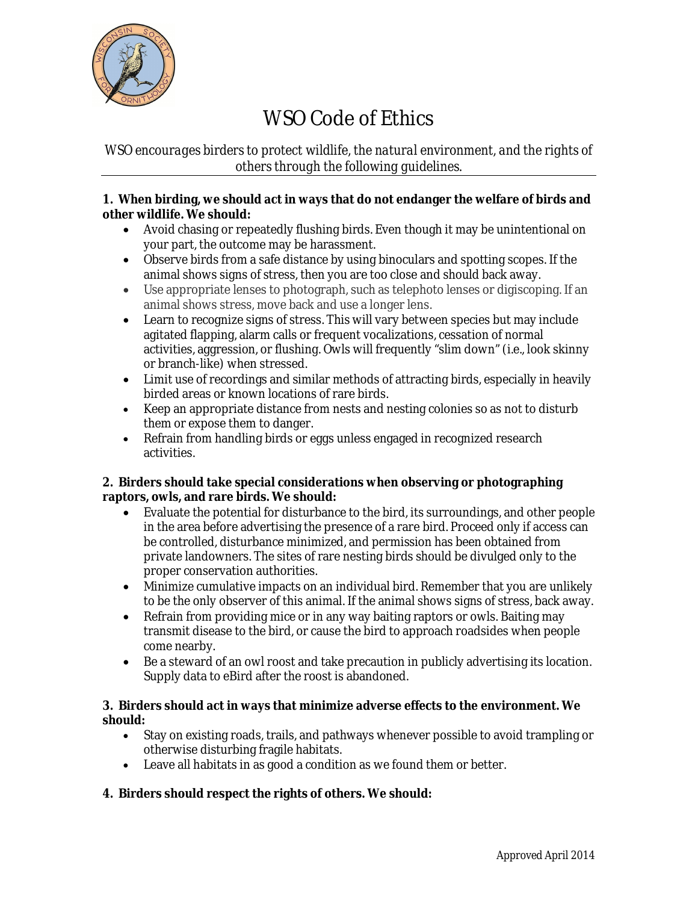

# WSO Code of Ethics

# *WSO encourages birders to protect wildlife, the natural environment, and the rights of others through the following guidelines.*

## **1. When birding, we should act in ways that do not endanger the welfare of birds and other wildlife. We should:**

- Avoid chasing or repeatedly flushing birds. Even though it may be unintentional on your part, the outcome may be harassment.
- Observe birds from a safe distance by using binoculars and spotting scopes. If the animal shows signs of stress, then you are too close and should back away.
- Use appropriate lenses to photograph, such as telephoto lenses or digiscoping. If an animal shows stress, move back and use a longer lens.
- Learn to recognize signs of stress. This will vary between species but may include agitated flapping, alarm calls or frequent vocalizations, cessation of normal activities, aggression, or flushing. Owls will frequently "slim down" (i.e., look skinny or branch-like) when stressed.
- Limit use of recordings and similar methods of attracting birds, especially in heavily birded areas or known locations of rare birds.
- Keep an appropriate distance from nests and nesting colonies so as not to disturb them or expose them to danger.
- Refrain from handling birds or eggs unless engaged in recognized research activities.

# **2. Birders should take special considerations when observing or photographing raptors, owls, and rare birds. We should:**

- Evaluate the potential for disturbance to the bird, its surroundings, and other people in the area before advertising the presence of a rare bird. Proceed only if access can be controlled, disturbance minimized, and permission has been obtained from private landowners. The sites of rare nesting birds should be divulged only to the proper conservation authorities.
- Minimize cumulative impacts on an individual bird. Remember that you are unlikely to be the only observer of this animal. If the animal shows signs of stress, back away.
- Refrain from providing mice or in any way baiting raptors or owls. Baiting may transmit disease to the bird, or cause the bird to approach roadsides when people come nearby.
- Be a steward of an owl roost and take precaution in publicly advertising its location. Supply data to eBird after the roost is abandoned.

## **3. Birders should act in ways that minimize adverse effects to the environment. We should:**

- Stay on existing roads, trails, and pathways whenever possible to avoid trampling or otherwise disturbing fragile habitats.
- Leave all habitats in as good a condition as we found them or better.

# **4. Birders should respect the rights of others. We should:**